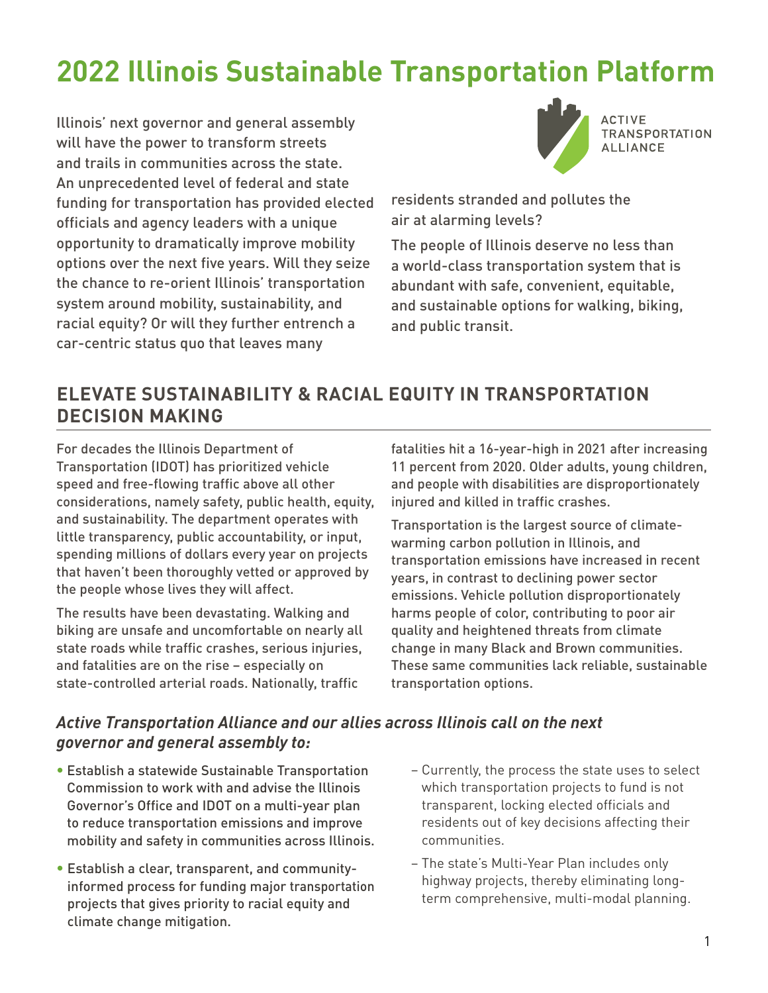# **2022 Illinois Sustainable Transportation Platform**

Illinois' next governor and general assembly will have the power to transform streets and trails in communities across the state. An unprecedented level of federal and state funding for transportation has provided elected officials and agency leaders with a unique opportunity to dramatically improve mobility options over the next five years. Will they seize the chance to re-orient Illinois' transportation system around mobility, sustainability, and racial equity? Or will they further entrench a car-centric status quo that leaves many



**ACTIVE TRANSPORTATION** 

residents stranded and pollutes the air at alarming levels?

The people of Illinois deserve no less than a world-class transportation system that is abundant with safe, convenient, equitable, and sustainable options for walking, biking, and public transit.

## **ELEVATE SUSTAINABILITY & RACIAL EQUITY IN TRANSPORTATION DECISION MAKING**

For decades the Illinois Department of Transportation (IDOT) has prioritized vehicle speed and free-flowing traffic above all other considerations, namely safety, public health, equity, and sustainability. The department operates with little transparency, public accountability, or input, spending millions of dollars every year on projects that haven't been thoroughly vetted or approved by the people whose lives they will affect.

The results have been devastating. Walking and biking are unsafe and uncomfortable on nearly all state roads while traffic crashes, serious injuries, and fatalities are on the rise – especially on state-controlled arterial roads. Nationally, traffic

fatalities hit a 16-year-high in 2021 after increasing 11 percent from 2020. Older adults, young children, and people with disabilities are disproportionately injured and killed in traffic crashes.

Transportation is the largest source of climatewarming carbon pollution in Illinois, and transportation emissions have increased in recent years, in contrast to declining power sector emissions. Vehicle pollution disproportionately harms people of color, contributing to poor air quality and heightened threats from climate change in many Black and Brown communities. These same communities lack reliable, sustainable transportation options.

#### *Active Transportation Alliance and our allies across Illinois call on the next governor and general assembly to:*

- **•** Establish a statewide Sustainable Transportation Commission to work with and advise the Illinois Governor's Office and IDOT on a multi-year plan to reduce transportation emissions and improve mobility and safety in communities across Illinois.
- Establish a clear, transparent, and communityinformed process for funding major transportation projects that gives priority to racial equity and climate change mitigation.
- Currently, the process the state uses to select which transportation projects to fund is not transparent, locking elected officials and residents out of key decisions affecting their communities.
- The state's Multi-Year Plan includes only highway projects, thereby eliminating longterm comprehensive, multi-modal planning.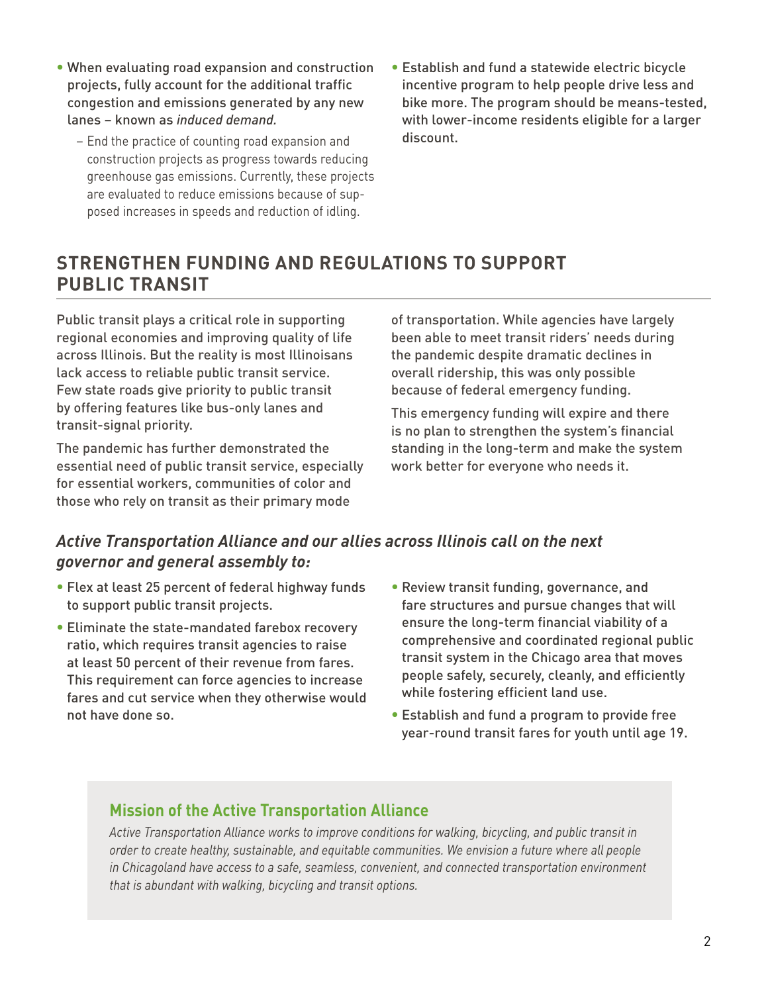- **•** When evaluating road expansion and construction projects, fully account for the additional traffic congestion and emissions generated by any new lanes – known as *induced demand.*
	- End the practice of counting road expansion and construction projects as progress towards reducing greenhouse gas emissions. Currently, these projects are evaluated to reduce emissions because of supposed increases in speeds and reduction of idling.
- **•** Establish and fund a statewide electric bicycle incentive program to help people drive less and bike more. The program should be means-tested, with lower-income residents eligible for a larger discount.

# **STRENGTHEN FUNDING AND REGULATIONS TO SUPPORT PUBLIC TRANSIT**

Public transit plays a critical role in supporting regional economies and improving quality of life across Illinois. But the reality is most Illinoisans lack access to reliable public transit service. Few state roads give priority to public transit by offering features like bus-only lanes and transit-signal priority.

The pandemic has further demonstrated the essential need of public transit service, especially for essential workers, communities of color and those who rely on transit as their primary mode

of transportation. While agencies have largely been able to meet transit riders' needs during the pandemic despite dramatic declines in overall ridership, this was only possible because of federal emergency funding.

This emergency funding will expire and there is no plan to strengthen the system's financial standing in the long-term and make the system work better for everyone who needs it.

#### *Active Transportation Alliance and our allies across Illinois call on the next governor and general assembly to:*

- **•** Flex at least 25 percent of federal highway funds to support public transit projects.
- **•** Eliminate the state-mandated farebox recovery ratio, which requires transit agencies to raise at least 50 percent of their revenue from fares. This requirement can force agencies to increase fares and cut service when they otherwise would not have done so.
- **•** Review transit funding, governance, and fare structures and pursue changes that will ensure the long-term financial viability of a comprehensive and coordinated regional public transit system in the Chicago area that moves people safely, securely, cleanly, and efficiently while fostering efficient land use.
- **•** Establish and fund a program to provide free year-round transit fares for youth until age 19.

#### **Mission of the Active Transportation Alliance**

*Active Transportation Alliance works to improve conditions for walking, bicycling, and public transit in order to create healthy, sustainable, and equitable communities. We envision a future where all people in Chicagoland have access to a safe, seamless, convenient, and connected transportation environment that is abundant with walking, bicycling and transit options.*